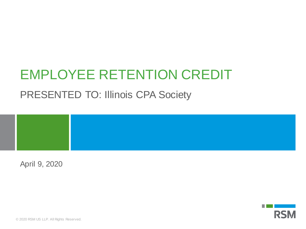# EMPLOYEE RETENTION CREDIT

### PRESENTED TO: Illinois CPA Society

April 9, 2020

**RSM**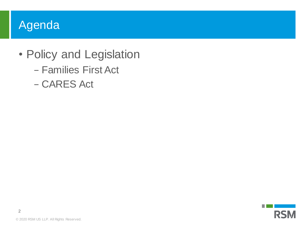### Agenda

- Policy and Legislation
	- − Families First Act
	- − CARES Act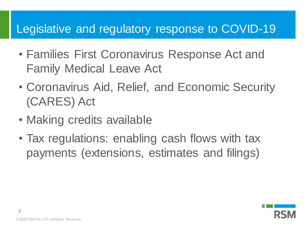#### Legislative and regulatory response to COVID-19

- Families First Coronavirus Response Act and Family Medical Leave Act
- Coronavirus Aid, Relief, and Economic Security (CARES) Act
- Making credits available
- Tax regulations: enabling cash flows with tax payments (extensions, estimates and filings)

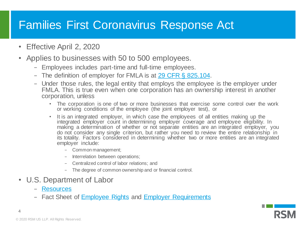## Families First Coronavirus Response Act

- Effective April 2, 2020
- Applies to businesses with 50 to 500 employees.
	- − Employees includes part-time and full-time employees.
	- − The definition of employer for FMLA is at [29 CFR §](https://www.law.cornell.edu/cfr/text/29/825.104) 825.104.
	- − Under those rules, the legal entity that employs the employee is the employer under FMLA. This is true even when one corporation has an ownership interest in another corporation, unless
		- The corporation is one of two or more businesses that exercise some control over the work or working conditions of the employee (the joint employer test), or
		- It is an integrated employer, in which case the employees of all entities making up the integrated employer count in determining employer coverage and employee eligibility. In making a determination of whether or not separate entities are an integrated employer, you do not consider any single criterion, but rather you need to review the entire relationship in its totality. Factors considered in determining whether two or more entities are an integrated employer include:
			- − Common management;
			- − Interrelation between operations;
			- − Centralized control of labor relations; and
			- − The degree of common ownership and or financial control.
- U.S. Department of Labor
	- − [Resources](https://www.dol.gov/agencies/whd/pandemic)
	- − Fact Sheet of [Employee Rights](https://www.dol.gov/sites/dolgov/files/WHD/Pandemic/FFCRA-Employee_Paid_Leave_Rights.pdf) and [Employer Requirements](https://www.dol.gov/sites/dolgov/files/WHD/Pandemic/FFCRA-Employee_Paid_Leave_Requirements.pdf)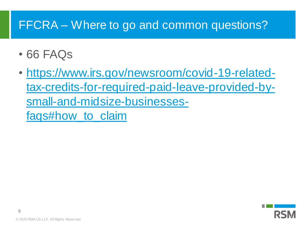## FFCRA – Where to go and common questions?

- 66 FAQs
- https://www.irs.gov/newsroom/covid-19-related[tax-credits-for-required-paid-leave-provided-by](https://www.irs.gov/newsroom/covid-19-related-tax-credits-for-required-paid-leave-provided-by-small-and-midsize-businesses-faqs)small-and-midsize-businessesfaqs#how\_to\_claim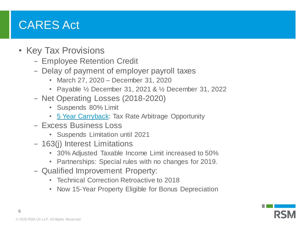### CARES Act

- Key Tax Provisions
	- − Employee Retention Credit
	- − Delay of payment of employer payroll taxes
		- March 27, 2020 December 31, 2020
		- Payable ½ December 31, 2021 & ½ December 31, 2022
	- − Net Operating Losses (2018-2020)
		- Suspends 80% Limit
		- [5 Year Carryback:](https://rsmus.com/what-we-do/services/tax/federal-tax/tax-mergers-and-acquisitions/cares-act-delivers-five-year-nol-carryback-to-aid-corporations.html) Tax Rate Arbitrage Opportunity
	- − Excess Business Loss
		- Suspends Limitation until 2021
	- − 163(j) Interest Limitations
		- 30% Adjusted Taxable Income Limit increased to 50%
		- Partnerships: Special rules with no changes for 2019.
	- − Qualified Improvement Property:
		- Technical Correction Retroactive to 2018
		- Now 15-Year Property Eligible for Bonus Depreciation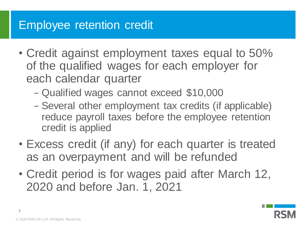### Employee retention credit

- Credit against employment taxes equal to 50% of the qualified wages for each employer for each calendar quarter
	- − Qualified wages cannot exceed \$10,000
	- − Several other employment tax credits (if applicable) reduce payroll taxes before the employee retention credit is applied
- Excess credit (if any) for each quarter is treated as an overpayment and will be refunded
- Credit period is for wages paid after March 12, 2020 and before Jan. 1, 2021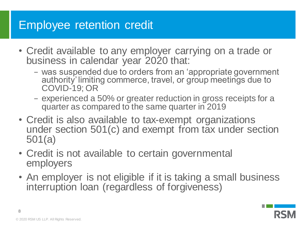### Employee retention credit

- Credit available to any employer carrying on a trade or business in calendar year 2020 that:
	- − was suspended due to orders from an 'appropriate government authority' limiting commerce, travel, or group meetings due to COVID-19; OR
	- − experienced a 50% or greater reduction in gross receipts for a quarter as compared to the same quarter in 2019
- Credit is also available to tax-exempt organizations under section 501(c) and exempt from tax under section 501(a)
- Credit is not available to certain governmental employers
- An employer is not eligible if it is taking a small business interruption loan (regardless of forgiveness)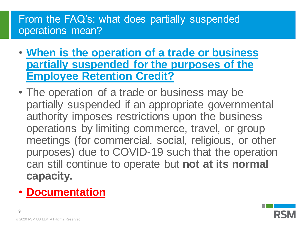#### From the FAQ's: what does partially suspended operations mean?

- **When is the operation of a trade or business [partially suspended for the purposes of the](https://www.irs.gov/newsroom/faqs-employee-retention-credit-under-the-cares-act)  Employee Retention Credit?**
- The operation of a trade or business may be partially suspended if an appropriate governmental authority imposes restrictions upon the business operations by limiting commerce, travel, or group meetings (for commercial, social, religious, or other purposes) due to COVID-19 such that the operation can still continue to operate but **not at its normal capacity.**
- **Documentation**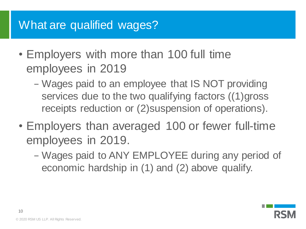### What are qualified wages?

- Employers with more than 100 full time employees in 2019
	- − Wages paid to an employee that IS NOT providing services due to the two qualifying factors ((1)gross receipts reduction or (2)suspension of operations).
- Employers than averaged 100 or fewer full-time employees in 2019.
	- − Wages paid to ANY EMPLOYEE during any period of economic hardship in (1) and (2) above qualify.

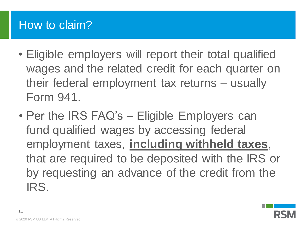### How to claim?

- Eligible employers will report their total qualified wages and the related credit for each quarter on their federal employment tax returns – usually Form 941.
- Per the IRS FAQ's Eligible Employers can fund qualified wages by accessing federal employment taxes, **including withheld taxes**, that are required to be deposited with the IRS or by requesting an advance of the credit from the IRS.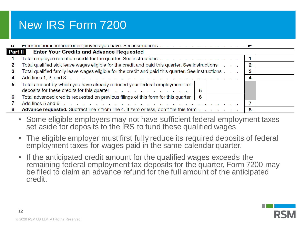### New IRS Form 7200

| υ              |                                                                                                                                            |    |  |
|----------------|--------------------------------------------------------------------------------------------------------------------------------------------|----|--|
| <b>Part II</b> | <b>Enter Your Credits and Advance Requested</b>                                                                                            |    |  |
|                | Total employee retention credit for the quarter. See instructions                                                                          |    |  |
|                | Total qualified sick leave wages eligible for the credit and paid this quarter. See instructions                                           | 2  |  |
| з              | Total qualified family leave wages eligible for the credit and paid this quarter. See instructions                                         |    |  |
| 4              | Add lines 1, 2, and 3 $\ldots$ $\ldots$ $\ldots$ $\ldots$ $\ldots$ $\ldots$ $\ldots$ $\ldots$ $\ldots$ $\ldots$ $\ldots$ $\ldots$ $\ldots$ | -4 |  |
| 5.             | Total amount by which you have already reduced your federal employment tax<br>deposits for these credits for this quarter<br>5             |    |  |
| 6              | Total advanced credits requested on previous filings of this form for this quarter<br>- 6                                                  |    |  |
|                |                                                                                                                                            |    |  |
| 8              | <b>Advance requested.</b> Subtract line 7 from line 4. If zero or less, don't file this form                                               | 8  |  |

- Some eligible employers may not have sufficient federal employment taxes set aside for deposits to the IRS to fund these qualified wages
- The eligible employer must first fully reduce its required deposits of federal employment taxes for wages paid in the same calendar quarter.
- If the anticipated credit amount for the qualified wages exceeds the remaining federal employment tax deposits for the quarter, Form 7200 may be filed to claim an advance refund for the full amount of the anticipated credit.

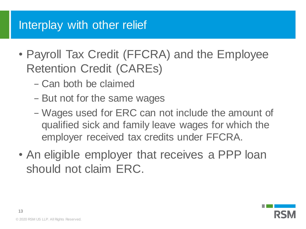### Interplay with other relief

- Payroll Tax Credit (FFCRA) and the Employee Retention Credit (CAREs)
	- − Can both be claimed
	- − But not for the same wages
	- − Wages used for ERC can not include the amount of qualified sick and family leave wages for which the employer received tax credits under FFCRA.
- An eligible employer that receives a PPP loan should not claim ERC.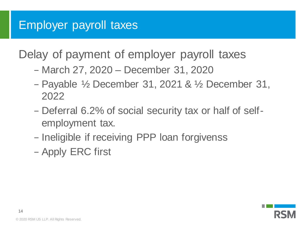### Employer payroll taxes

Delay of payment of employer payroll taxes

- − March 27, 2020 December 31, 2020
- − Payable ½ December 31, 2021 & ½ December 31, 2022
- − Deferral 6.2% of social security tax or half of selfemployment tax.
- − Ineligible if receiving PPP loan forgivenss
- − Apply ERC first

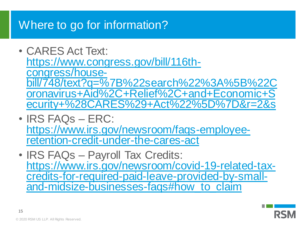### Where to go for information?

- CARES Act Text: https://www.congress.gov/bill/116thcongress/house[bill/748/text?q=%7B%22search%22%3A%5B%22C](https://www.congress.gov/bill/116th-congress/house-bill/748/text?q=%7B%22search%22%3A%5B%22Coronavirus+Aid%2C+Relief%2C+and+Economic+Security+%28CARES%29+Act%22%5D%7D&r=2&s) oronavirus+Aid%2C+Relief%2C+and+Economic+S ecurity+%28CARES%29+Act%22%5D%7D&r=2&s
- IRS FAQs ERC: [https://www.irs.gov/newsroom/faqs-employee](https://www.irs.gov/newsroom/faqs-employee-retention-credit-under-the-cares-act)retention-credit-under-the-cares-act
- IRS FAQs Payroll Tax Credits: https://www.irs.gov/newsroom/covid-19-related-tax[credits-for-required-paid-leave-provided-by-small](https://www.irs.gov/newsroom/covid-19-related-tax-credits-for-required-paid-leave-provided-by-small-and-midsize-businesses-faqs)and-midsize-businesses-faqs#how\_to\_claim